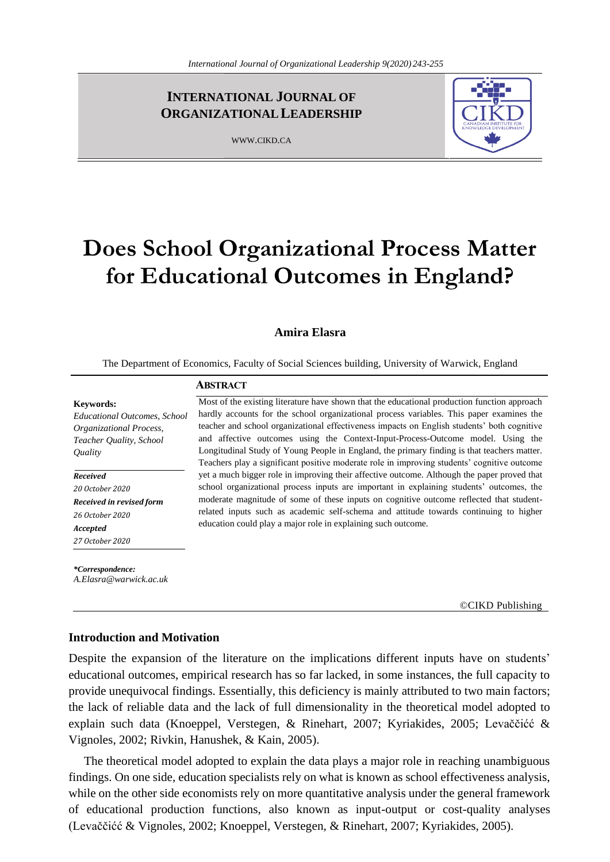## **INTERNATIONAL JOURNAL OF ORGANIZATIONALLEADERSHIP**

WWW.CIKD.CA



# **Does School Organizational Process Matter for Educational Outcomes in England?**

## **Amira Elasra**

The Department of Economics, Faculty of Social Sciences building, University of Warwick, England

## **ABSTRACT**

**Keywords:** 

*Educational Outcomes, School Organizational Process, Teacher Quality, School Quality*

*Received 20 October 2020*

*Received in revised form 26 October 2020 Accepted 27 October 2020*

*\*Correspondence: A.Elasra@warwick.ac.uk* Most of the existing literature have shown that the educational production function approach hardly accounts for the school organizational process variables. This paper examines the teacher and school organizational effectiveness impacts on English students' both cognitive and affective outcomes using the Context-Input-Process-Outcome model. Using the Longitudinal Study of Young People in England, the primary finding is that teachers matter. Teachers play a significant positive moderate role in improving students' cognitive outcome yet a much bigger role in improving their affective outcome. Although the paper proved that school organizational process inputs are important in explaining students' outcomes, the moderate magnitude of some of these inputs on cognitive outcome reflected that studentrelated inputs such as academic self-schema and attitude towards continuing to higher education could play a major role in explaining such outcome.

©CIKD Publishing

## **Introduction and Motivation**

Despite the expansion of the literature on the implications different inputs have on students' educational outcomes, empirical research has so far lacked, in some instances, the full capacity to provide unequivocal findings. Essentially, this deficiency is mainly attributed to two main factors; the lack of reliable data and the lack of full dimensionality in the theoretical model adopted to explain such data (Knoeppel, Verstegen, & Rinehart, 2007; Kyriakides, 2005; Levaččićć & Vignoles, 2002; Rivkin, Hanushek, & Kain, 2005).

 The theoretical model adopted to explain the data plays a major role in reaching unambiguous findings. On one side, education specialists rely on what is known as school effectiveness analysis, while on the other side economists rely on more quantitative analysis under the general framework of educational production functions, also known as input-output or cost-quality analyses (Levaččićć & Vignoles, 2002; Knoeppel, Verstegen, & Rinehart, 2007; Kyriakides, 2005).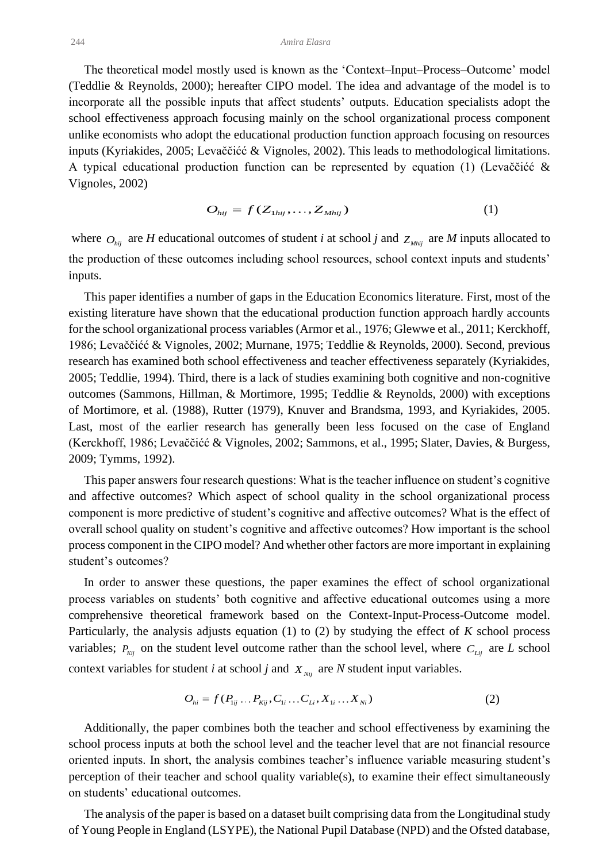The theoretical model mostly used is known as the 'Context–Input–Process–Outcome' model (Teddlie & Reynolds, 2000); hereafter CIPO model. The idea and advantage of the model is to incorporate all the possible inputs that affect students' outputs. Education specialists adopt the school effectiveness approach focusing mainly on the school organizational process component unlike economists who adopt the educational production function approach focusing on resources inputs (Kyriakides, 2005; Levaččićć & Vignoles, 2002). This leads to methodological limitations. A typical educational production function can be represented by equation (1) (Levaččićć & Vignoles, 2002)

$$
O_{hij} = f(Z_{1hij}, \dots, Z_{Mhij})
$$
\n<sup>(1)</sup>

where  $O_{hij}$  are *H* educational outcomes of student *i* at school *j* and  $Z_{Mhij}$  are *M* inputs allocated to the production of these outcomes including school resources, school context inputs and students' inputs.

 This paper identifies a number of gaps in the Education Economics literature. First, most of the existing literature have shown that the educational production function approach hardly accounts for the school organizational process variables (Armor et al., 1976; Glewwe et al., 2011; Kerckhoff, 1986; Levaččićć & Vignoles, 2002; Murnane, 1975; Teddlie & Reynolds, 2000). Second, previous research has examined both school effectiveness and teacher effectiveness separately (Kyriakides, 2005; Teddlie, 1994). Third, there is a lack of studies examining both cognitive and non-cognitive outcomes (Sammons, Hillman, & Mortimore, 1995; Teddlie & Reynolds, 2000) with exceptions of Mortimore, et al. (1988), Rutter (1979), Knuver and Brandsma, 1993, and Kyriakides, 2005. Last, most of the earlier research has generally been less focused on the case of England (Kerckhoff, 1986; Levaččićć & Vignoles, 2002; Sammons, et al., 1995; Slater, Davies, & Burgess, 2009; Tymms, 1992).

 This paper answers four research questions: What is the teacher influence on student's cognitive and affective outcomes? Which aspect of school quality in the school organizational process component is more predictive of student's cognitive and affective outcomes? What is the effect of overall school quality on student's cognitive and affective outcomes? How important is the school process component in the CIPO model? And whether other factors are more important in explaining student's outcomes?

 In order to answer these questions, the paper examines the effect of school organizational process variables on students' both cognitive and affective educational outcomes using a more comprehensive theoretical framework based on the Context-Input-Process-Outcome model. Particularly, the analysis adjusts equation (1) to (2) by studying the effect of *K* school process variables;  $P_{kj}$  on the student level outcome rather than the school level, where  $C_{Lij}$  are *L* school context variables for student *i* at school *j* and  $X_{Nij}$  are *N* student input variables.

$$
O_{hi} = f(P_{1ij} \dots P_{Kij}, C_{1i} \dots C_{Li}, X_{1i} \dots X_{Ni})
$$
 (2)

 Additionally, the paper combines both the teacher and school effectiveness by examining the school process inputs at both the school level and the teacher level that are not financial resource oriented inputs. In short, the analysis combines teacher's influence variable measuring student's perception of their teacher and school quality variable(s), to examine their effect simultaneously on students' educational outcomes.

 The analysis of the paper is based on a dataset built comprising data from the Longitudinal study of Young People in England (LSYPE), the National Pupil Database (NPD) and the Ofsted database,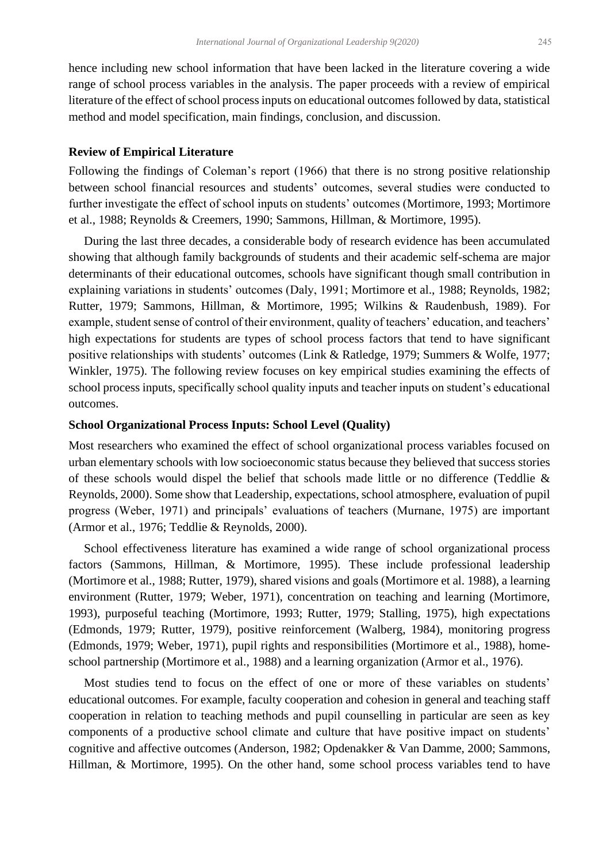hence including new school information that have been lacked in the literature covering a wide range of school process variables in the analysis. The paper proceeds with a review of empirical literature of the effect of school process inputs on educational outcomes followed by data, statistical method and model specification, main findings, conclusion, and discussion.

## **Review of Empirical Literature**

Following the findings of Coleman's report (1966) that there is no strong positive relationship between school financial resources and students' outcomes, several studies were conducted to further investigate the effect of school inputs on students' outcomes (Mortimore, 1993; Mortimore et al., 1988; Reynolds & Creemers, 1990; Sammons, Hillman, & Mortimore, 1995).

 During the last three decades, a considerable body of research evidence has been accumulated showing that although family backgrounds of students and their academic self-schema are major determinants of their educational outcomes, schools have significant though small contribution in explaining variations in students' outcomes (Daly, 1991; Mortimore et al., 1988; Reynolds, 1982; Rutter, 1979; Sammons, Hillman, & Mortimore, 1995; Wilkins & Raudenbush, 1989). For example, student sense of control of their environment, quality of teachers' education, and teachers' high expectations for students are types of school process factors that tend to have significant positive relationships with students' outcomes (Link & Ratledge, 1979; Summers & Wolfe, 1977; Winkler, 1975). The following review focuses on key empirical studies examining the effects of school process inputs, specifically school quality inputs and teacher inputs on student's educational outcomes.

## **School Organizational Process Inputs: School Level (Quality)**

Most researchers who examined the effect of school organizational process variables focused on urban elementary schools with low socioeconomic status because they believed that success stories of these schools would dispel the belief that schools made little or no difference (Teddlie & Reynolds, 2000). Some show that Leadership, expectations, school atmosphere, evaluation of pupil progress (Weber, 1971) and principals' evaluations of teachers (Murnane, 1975) are important (Armor et al., 1976; Teddlie & Reynolds, 2000).

 School effectiveness literature has examined a wide range of school organizational process factors (Sammons, Hillman, & Mortimore, 1995). These include professional leadership (Mortimore et al., 1988; Rutter, 1979), shared visions and goals (Mortimore et al. 1988), a learning environment (Rutter, 1979; Weber, 1971), concentration on teaching and learning (Mortimore, 1993), purposeful teaching (Mortimore, 1993; Rutter, 1979; Stalling, 1975), high expectations (Edmonds, 1979; Rutter, 1979), positive reinforcement (Walberg, 1984), monitoring progress (Edmonds, 1979; Weber, 1971), pupil rights and responsibilities (Mortimore et al., 1988), homeschool partnership (Mortimore et al., 1988) and a learning organization (Armor et al., 1976).

 Most studies tend to focus on the effect of one or more of these variables on students' educational outcomes. For example, faculty cooperation and cohesion in general and teaching staff cooperation in relation to teaching methods and pupil counselling in particular are seen as key components of a productive school climate and culture that have positive impact on students' cognitive and affective outcomes (Anderson, 1982; Opdenakker & Van Damme, 2000; Sammons, Hillman, & Mortimore, 1995). On the other hand, some school process variables tend to have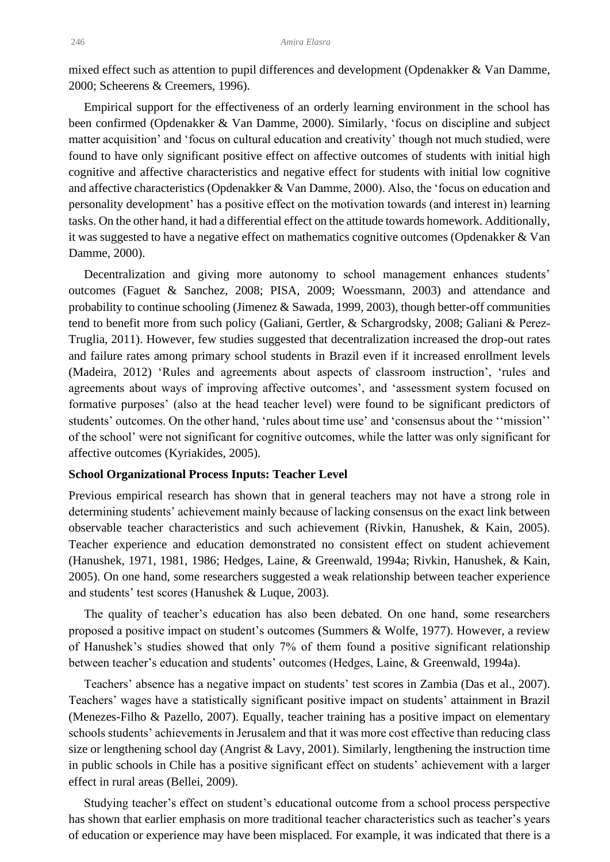mixed effect such as attention to pupil differences and development (Opdenakker & Van Damme, 2000; Scheerens & Creemers, 1996).

 Empirical support for the effectiveness of an orderly learning environment in the school has been confirmed (Opdenakker & Van Damme, 2000). Similarly, 'focus on discipline and subject matter acquisition' and 'focus on cultural education and creativity' though not much studied, were found to have only significant positive effect on affective outcomes of students with initial high cognitive and affective characteristics and negative effect for students with initial low cognitive and affective characteristics (Opdenakker & Van Damme, 2000). Also, the 'focus on education and personality development' has a positive effect on the motivation towards (and interest in) learning tasks. On the other hand, it had a differential effect on the attitude towards homework. Additionally, it was suggested to have a negative effect on mathematics cognitive outcomes (Opdenakker & Van Damme, 2000).

 Decentralization and giving more autonomy to school management enhances students' outcomes (Faguet & Sanchez, 2008; PISA, 2009; Woessmann, 2003) and attendance and probability to continue schooling (Jimenez & Sawada, 1999, 2003), though better-off communities tend to benefit more from such policy (Galiani, Gertler, & Schargrodsky, 2008; Galiani & Perez-Truglia, 2011). However, few studies suggested that decentralization increased the drop-out rates and failure rates among primary school students in Brazil even if it increased enrollment levels (Madeira, 2012) 'Rules and agreements about aspects of classroom instruction', 'rules and agreements about ways of improving affective outcomes', and 'assessment system focused on formative purposes' (also at the head teacher level) were found to be significant predictors of students' outcomes. On the other hand, 'rules about time use' and 'consensus about the ''mission'' of the school' were not significant for cognitive outcomes, while the latter was only significant for affective outcomes (Kyriakides, 2005).

#### **School Organizational Process Inputs: Teacher Level**

Previous empirical research has shown that in general teachers may not have a strong role in determining students' achievement mainly because of lacking consensus on the exact link between observable teacher characteristics and such achievement (Rivkin, Hanushek, & Kain, 2005). Teacher experience and education demonstrated no consistent effect on student achievement (Hanushek, 1971, 1981, 1986; Hedges, Laine, & Greenwald, 1994a; Rivkin, Hanushek, & Kain, 2005). On one hand, some researchers suggested a weak relationship between teacher experience and students' test scores (Hanushek & Luque, 2003).

 The quality of teacher's education has also been debated. On one hand, some researchers proposed a positive impact on student's outcomes (Summers & Wolfe, 1977). However, a review of Hanushek's studies showed that only 7% of them found a positive significant relationship between teacher's education and students' outcomes (Hedges, Laine, & Greenwald, 1994a).

 Teachers' absence has a negative impact on students' test scores in Zambia (Das et al., 2007). Teachers' wages have a statistically significant positive impact on students' attainment in Brazil (Menezes-Filho & Pazello, 2007). Equally, teacher training has a positive impact on elementary schools students' achievements in Jerusalem and that it was more cost effective than reducing class size or lengthening school day (Angrist  $&$  Lavy, 2001). Similarly, lengthening the instruction time in public schools in Chile has a positive significant effect on students' achievement with a larger effect in rural areas (Bellei, 2009).

 Studying teacher's effect on student's educational outcome from a school process perspective has shown that earlier emphasis on more traditional teacher characteristics such as teacher's years of education or experience may have been misplaced. For example, it was indicated that there is a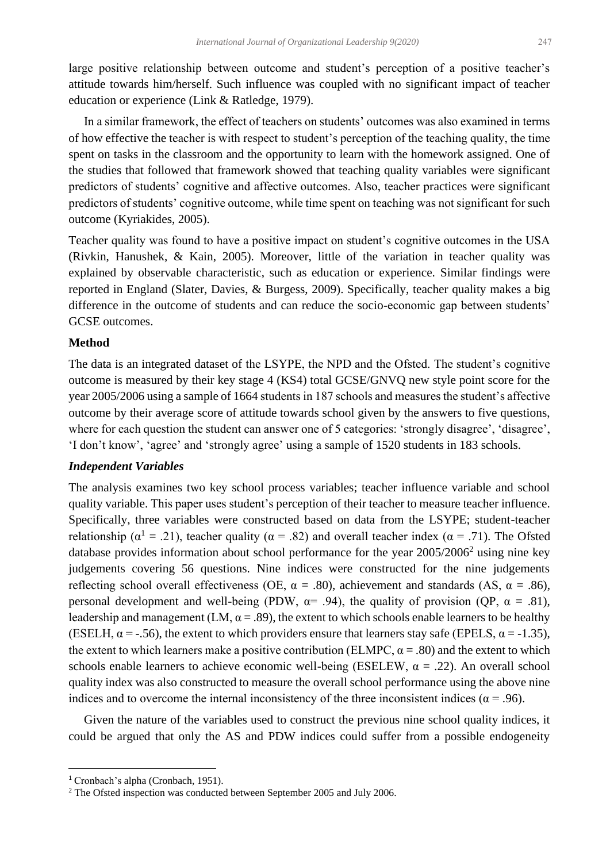large positive relationship between outcome and student's perception of a positive teacher's attitude towards him/herself. Such influence was coupled with no significant impact of teacher education or experience (Link & Ratledge, 1979).

 In a similar framework, the effect of teachers on students' outcomes was also examined in terms of how effective the teacher is with respect to student's perception of the teaching quality, the time spent on tasks in the classroom and the opportunity to learn with the homework assigned. One of the studies that followed that framework showed that teaching quality variables were significant predictors of students' cognitive and affective outcomes. Also, teacher practices were significant predictors of students' cognitive outcome, while time spent on teaching was not significant for such outcome (Kyriakides, 2005).

Teacher quality was found to have a positive impact on student's cognitive outcomes in the USA (Rivkin, Hanushek, & Kain, 2005). Moreover, little of the variation in teacher quality was explained by observable characteristic, such as education or experience. Similar findings were reported in England (Slater, Davies, & Burgess, 2009). Specifically, teacher quality makes a big difference in the outcome of students and can reduce the socio-economic gap between students' GCSE outcomes.

## **Method**

The data is an integrated dataset of the LSYPE, the NPD and the Ofsted. The student's cognitive outcome is measured by their key stage 4 (KS4) total GCSE/GNVQ new style point score for the year 2005/2006 using a sample of 1664 students in 187 schools and measures the student's affective outcome by their average score of attitude towards school given by the answers to five questions, where for each question the student can answer one of 5 categories: 'strongly disagree', 'disagree', 'I don't know', 'agree' and 'strongly agree' using a sample of 1520 students in 183 schools.

## *Independent Variables*

The analysis examines two key school process variables; teacher influence variable and school quality variable. This paper uses student's perception of their teacher to measure teacher influence. Specifically, three variables were constructed based on data from the LSYPE; student-teacher relationship ( $\alpha^1 = .21$ ), teacher quality ( $\alpha = .82$ ) and overall teacher index ( $\alpha = .71$ ). The Ofsted database provides information about school performance for the year  $2005/2006<sup>2</sup>$  using nine key judgements covering 56 questions. Nine indices were constructed for the nine judgements reflecting school overall effectiveness (OE,  $\alpha = .80$ ), achievement and standards (AS,  $\alpha = .86$ ), personal development and well-being (PDW,  $\alpha$  = .94), the quality of provision (QP,  $\alpha$  = .81), leadership and management (LM,  $\alpha$  = .89), the extent to which schools enable learners to be healthy (ESELH,  $\alpha$  = -.56), the extent to which providers ensure that learners stay safe (EPELS,  $\alpha$  = -1.35), the extent to which learners make a positive contribution (ELMPC,  $\alpha = .80$ ) and the extent to which schools enable learners to achieve economic well-being (ESELEW,  $\alpha = .22$ ). An overall school quality index was also constructed to measure the overall school performance using the above nine indices and to overcome the internal inconsistency of the three inconsistent indices ( $\alpha$  = .96).

 Given the nature of the variables used to construct the previous nine school quality indices, it could be argued that only the AS and PDW indices could suffer from a possible endogeneity

<sup>1</sup> Cronbach's alpha (Cronbach, 1951).

<sup>&</sup>lt;sup>2</sup> The Ofsted inspection was conducted between September 2005 and July 2006.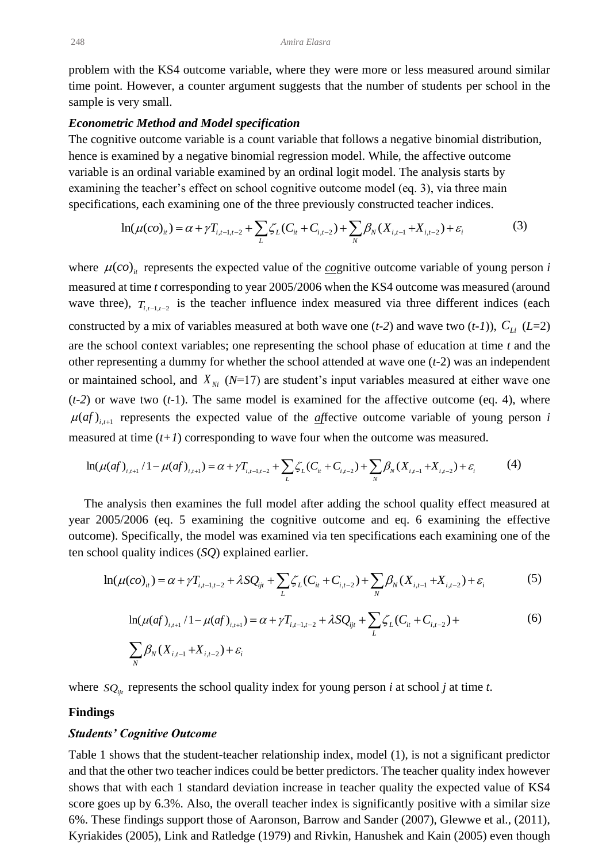problem with the KS4 outcome variable, where they were more or less measured around similar time point. However, a counter argument suggests that the number of students per school in the sample is very small.

#### *Econometric Method and Model specification*

The cognitive outcome variable is a count variable that follows a negative binomial distribution, hence is examined by a negative binomial regression model. While, the affective outcome variable is an ordinal variable examined by an ordinal logit model. The analysis starts by examining the teacher's effect on school cognitive outcome model (eq. 3), via three main specifications, each examining one of the three previously constructed teacher indices.

$$
\ln(\mu(co)_{it}) = \alpha + \gamma T_{i,t-1,t-2} + \sum_{L} \zeta_L (C_{it} + C_{i,t-2}) + \sum_{N} \beta_N (X_{i,t-1} + X_{i,t-2}) + \varepsilon_i
$$
(3)

where  $\mu$ (*co*)<sub>*it*</sub> represents the expected value of the *co*gnitive outcome variable of young person *i* measured at time *t* corresponding to year 2005/2006 when the KS4 outcome was measured (around wave three),  $T_{i,t-1,t-2}$  is the teacher influence index measured via three different indices (each constructed by a mix of variables measured at both wave one  $(t-2)$  and wave two  $(t-1)$ ),  $C_{Li}(L=2)$ are the school context variables; one representing the school phase of education at time *t* and the other representing a dummy for whether the school attended at wave one (*t-*2) was an independent or maintained school, and  $X_{\text{Ni}}$  ( $N=17$ ) are student's input variables measured at either wave one (*t-2*) or wave two (*t-*1). The same model is examined for the affective outcome (eq. 4), where  $\mu(af)$ <sub>*it*+1</sub> represents the expected value of the *affective* outcome variable of young person *i* measured at time  $(t+1)$  corresponding to wave four when the outcome was measured.

$$
\ln(\mu(af)_{i,t+1}/1 - \mu(af)_{i,t+1}) = \alpha + \gamma T_{i,t-1,t-2} + \sum_{L} \zeta_L (C_{it} + C_{i,t-2}) + \sum_{N} \beta_N (X_{i,t-1} + X_{i,t-2}) + \varepsilon_i
$$
(4)

 The analysis then examines the full model after adding the school quality effect measured at year 2005/2006 (eq. 5 examining the cognitive outcome and eq. 6 examining the effective outcome). Specifically, the model was examined via ten specifications each examining one of the ten school quality indices (*SQ*) explained earlier.

$$
\ln(\mu(co)_{it}) = \alpha + \gamma T_{i,t-1,t-2} + \lambda SQ_{ijt} + \sum_{L} \zeta_L (C_{it} + C_{i,t-2}) + \sum_{N} \beta_N (X_{i,t-1} + X_{i,t-2}) + \varepsilon_i
$$
(5)

$$
\ln(\mu(af)_{i,t+1}/1 - \mu(af)_{i,t+1}) = \alpha + \gamma T_{i,t-1,t-2} + \lambda SQ_{ijt} + \sum_{L} \zeta_L (C_{it} + C_{i,t-2}) + \sum_{N} \beta_N (X_{i,t-1} + X_{i,t-2}) + \varepsilon_i
$$
\n(6)

where  $SQ_{ijt}$  represents the school quality index for young person *i* at school *j* at time *t*.

#### **Findings**

#### *Students' Cognitive Outcome*

Table 1 shows that the student-teacher relationship index, model (1), is not a significant predictor and that the other two teacher indices could be better predictors. The teacher quality index however shows that with each 1 standard deviation increase in teacher quality the expected value of KS4 score goes up by 6.3%. Also, the overall teacher index is significantly positive with a similar size 6%. These findings support those of Aaronson, Barrow and Sander (2007), Glewwe et al., (2011), Kyriakides (2005), Link and Ratledge (1979) and Rivkin, Hanushek and Kain (2005) even though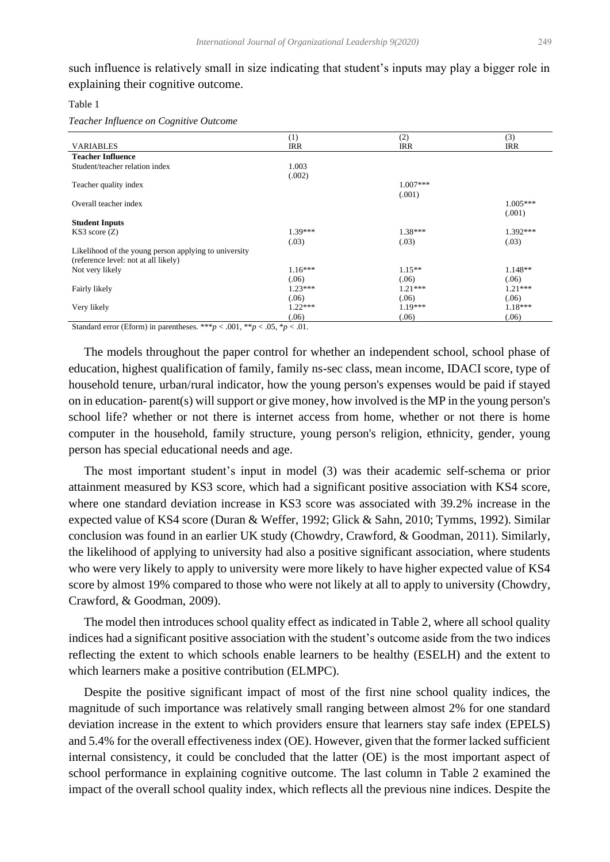such influence is relatively small in size indicating that student's inputs may play a bigger role in explaining their cognitive outcome.

#### Table 1

*Teacher Influence on Cognitive Outcome*

|                                                       | (1)        | (2)        | (3)        |
|-------------------------------------------------------|------------|------------|------------|
| <b>VARIABLES</b>                                      | <b>IRR</b> | <b>IRR</b> | <b>IRR</b> |
| <b>Teacher Influence</b>                              |            |            |            |
| Student/teacher relation index                        | 1.003      |            |            |
|                                                       | (.002)     |            |            |
| Teacher quality index                                 |            | $1.007***$ |            |
|                                                       |            | (.001)     |            |
| Overall teacher index                                 |            |            | $1.005***$ |
|                                                       |            |            | (.001)     |
| <b>Student Inputs</b>                                 |            |            |            |
| KS3 score(Z)                                          | $1.39***$  | $1.38***$  | 1.392***   |
|                                                       | (.03)      | (.03)      | (.03)      |
| Likelihood of the young person applying to university |            |            |            |
| (reference level: not at all likely)                  |            |            |            |
| Not very likely                                       | $1.16***$  | $1.15**$   | $1.148**$  |
|                                                       | (.06)      | (.06)      | (.06)      |
| Fairly likely                                         | $1.23***$  | $1.21***$  | $1.21***$  |
|                                                       | (.06)      | (.06)      | (.06)      |
| Very likely                                           | $1.22***$  | $1.19***$  | $1.18***$  |
|                                                       | (.06)      | (.06)      | (.06)      |

Standard error (Eform) in parentheses. \*\*\* $p < .001$ , \*\* $p < .05$ , \* $p < .01$ .

 The models throughout the paper control for whether an independent school, school phase of education, highest qualification of family, family ns-sec class, mean income, IDACI score, type of household tenure, urban/rural indicator, how the young person's expenses would be paid if stayed on in education- parent(s) will support or give money, how involved is the MP in the young person's school life? whether or not there is internet access from home, whether or not there is home computer in the household, family structure, young person's religion, ethnicity, gender, young person has special educational needs and age.

 The most important student's input in model (3) was their academic self-schema or prior attainment measured by KS3 score, which had a significant positive association with KS4 score, where one standard deviation increase in KS3 score was associated with 39.2% increase in the expected value of KS4 score (Duran & Weffer, 1992; Glick & Sahn, 2010; Tymms, 1992). Similar conclusion was found in an earlier UK study (Chowdry, Crawford, & Goodman, 2011). Similarly, the likelihood of applying to university had also a positive significant association, where students who were very likely to apply to university were more likely to have higher expected value of KS4 score by almost 19% compared to those who were not likely at all to apply to university (Chowdry, Crawford, & Goodman, 2009).

 The model then introduces school quality effect as indicated in Table 2, where all school quality indices had a significant positive association with the student's outcome aside from the two indices reflecting the extent to which schools enable learners to be healthy (ESELH) and the extent to which learners make a positive contribution (ELMPC).

 Despite the positive significant impact of most of the first nine school quality indices, the magnitude of such importance was relatively small ranging between almost 2% for one standard deviation increase in the extent to which providers ensure that learners stay safe index (EPELS) and 5.4% for the overall effectiveness index (OE). However, given that the former lacked sufficient internal consistency, it could be concluded that the latter (OE) is the most important aspect of school performance in explaining cognitive outcome. The last column in Table 2 examined the impact of the overall school quality index, which reflects all the previous nine indices. Despite the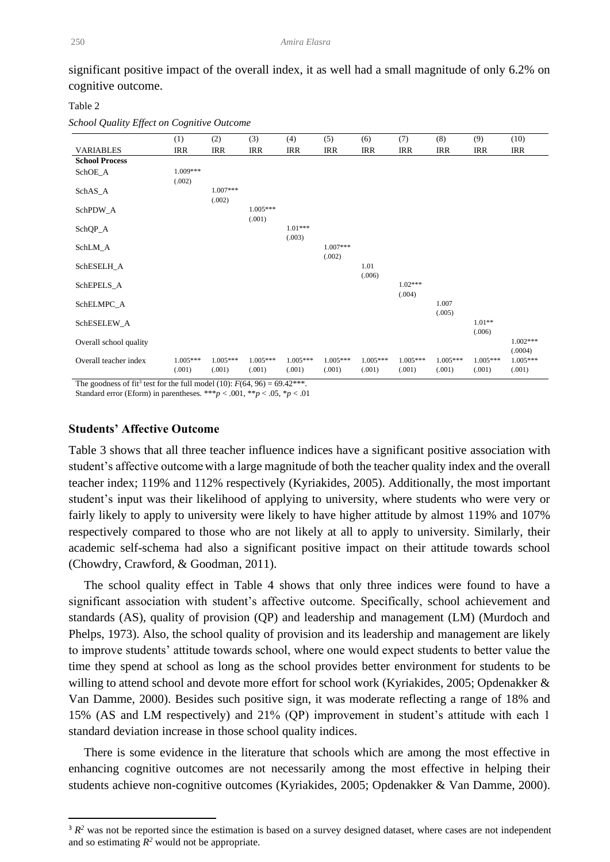significant positive impact of the overall index, it as well had a small magnitude of only 6.2% on cognitive outcome.

#### Table 2

*School Quality Effect on Cognitive Outcome*

|                        | (1)                  | (2)                  | (3)                  | (4)                  | (5)                  | (6)                  | (7)                  | (8)                  | (9)                  | (10)                  |
|------------------------|----------------------|----------------------|----------------------|----------------------|----------------------|----------------------|----------------------|----------------------|----------------------|-----------------------|
| <b>VARIABLES</b>       | <b>IRR</b>           | IRR                  | <b>IRR</b>           | <b>IRR</b>           | <b>IRR</b>           | <b>IRR</b>           | <b>IRR</b>           | <b>IRR</b>           | <b>IRR</b>           | <b>IRR</b>            |
| <b>School Process</b>  |                      |                      |                      |                      |                      |                      |                      |                      |                      |                       |
| SchOE_A                | 1.009***<br>(.002)   |                      |                      |                      |                      |                      |                      |                      |                      |                       |
| SchAS_A                |                      | $1.007***$<br>(.002) |                      |                      |                      |                      |                      |                      |                      |                       |
| SchPDW_A               |                      |                      | $1.005***$<br>(.001) |                      |                      |                      |                      |                      |                      |                       |
| SchQP_A                |                      |                      |                      | $1.01***$<br>(.003)  |                      |                      |                      |                      |                      |                       |
| SchLM_A                |                      |                      |                      |                      | $1.007***$<br>(.002) |                      |                      |                      |                      |                       |
| SchESELH_A             |                      |                      |                      |                      |                      | 1.01<br>(.006)       |                      |                      |                      |                       |
| SchEPELS_A             |                      |                      |                      |                      |                      |                      | $1.02***$<br>(.004)  |                      |                      |                       |
| SchELMPC_A             |                      |                      |                      |                      |                      |                      |                      | 1.007<br>(.005)      |                      |                       |
| SchESELEW_A            |                      |                      |                      |                      |                      |                      |                      |                      | $1.01**$<br>(.006)   |                       |
| Overall school quality |                      |                      |                      |                      |                      |                      |                      |                      |                      | $1.002***$<br>(.0004) |
| Overall teacher index  | $1.005***$<br>(.001) | $1.005***$<br>(.001) | $1.005***$<br>(.001) | $1.005***$<br>(.001) | $1.005***$<br>(.001) | $1.005***$<br>(.001) | $1.005***$<br>(.001) | $1.005***$<br>(.001) | $1.005***$<br>(.001) | $1.005***$<br>(.001)  |

The goodness of fit<sup>3</sup> test for the full model (10):  $F(64, 96) = 69.42***$ .

Standard error (Eform) in parentheses. \*\*\* $p < .001$ , \*\* $p < .05$ , \* $p < .01$ 

## **Students' Affective Outcome**

Table 3 shows that all three teacher influence indices have a significant positive association with student's affective outcomewith a large magnitude of both the teacher quality index and the overall teacher index; 119% and 112% respectively (Kyriakides, 2005). Additionally, the most important student's input was their likelihood of applying to university, where students who were very or fairly likely to apply to university were likely to have higher attitude by almost 119% and 107% respectively compared to those who are not likely at all to apply to university. Similarly, their academic self-schema had also a significant positive impact on their attitude towards school (Chowdry, Crawford, & Goodman, 2011).

 The school quality effect in Table 4 shows that only three indices were found to have a significant association with student's affective outcome. Specifically, school achievement and standards (AS), quality of provision (QP) and leadership and management (LM) (Murdoch and Phelps, 1973). Also, the school quality of provision and its leadership and management are likely to improve students' attitude towards school, where one would expect students to better value the time they spend at school as long as the school provides better environment for students to be willing to attend school and devote more effort for school work (Kyriakides, 2005; Opdenakker & Van Damme, 2000). Besides such positive sign, it was moderate reflecting a range of 18% and 15% (AS and LM respectively) and 21% (QP) improvement in student's attitude with each 1 standard deviation increase in those school quality indices.

 There is some evidence in the literature that schools which are among the most effective in enhancing cognitive outcomes are not necessarily among the most effective in helping their students achieve non-cognitive outcomes (Kyriakides, 2005; Opdenakker & Van Damme, 2000).

 $3 R<sup>2</sup>$  was not be reported since the estimation is based on a survey designed dataset, where cases are not independent and so estimating  $R^2$  would not be appropriate.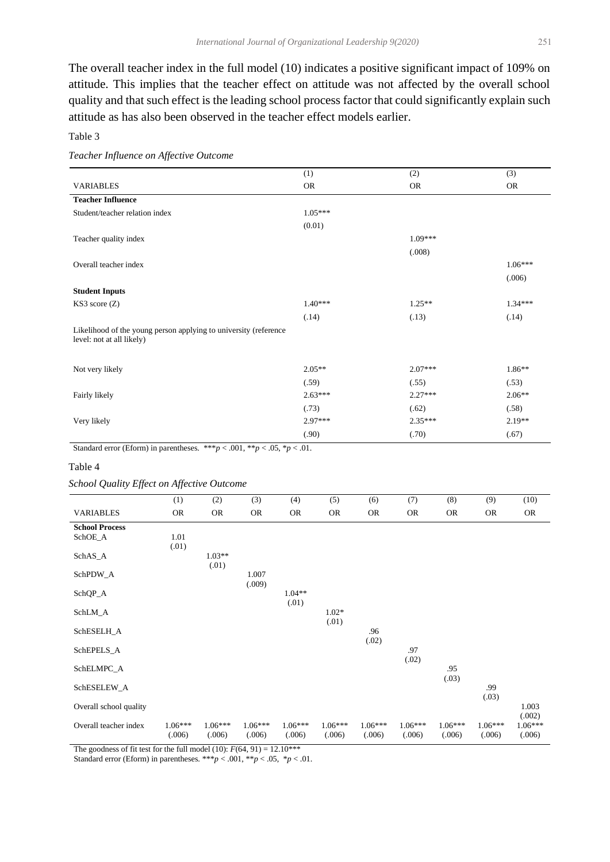The overall teacher index in the full model (10) indicates a positive significant impact of 109% on attitude. This implies that the teacher effect on attitude was not affected by the overall school quality and that such effect is the leading school process factor that could significantly explain such attitude as has also been observed in the teacher effect models earlier.

Table 3

|  | Teacher Influence on Affective Outcome |  |
|--|----------------------------------------|--|
|  |                                        |  |

|                                                                                               | (1)       | (2)       | (3)       |
|-----------------------------------------------------------------------------------------------|-----------|-----------|-----------|
| <b>VARIABLES</b>                                                                              | <b>OR</b> | <b>OR</b> | <b>OR</b> |
| <b>Teacher Influence</b>                                                                      |           |           |           |
| Student/teacher relation index                                                                | $1.05***$ |           |           |
|                                                                                               | (0.01)    |           |           |
| Teacher quality index                                                                         |           | $1.09***$ |           |
|                                                                                               |           | (.008)    |           |
| Overall teacher index                                                                         |           |           | $1.06***$ |
|                                                                                               |           |           | (.006)    |
| <b>Student Inputs</b>                                                                         |           |           |           |
| KS3 score(Z)                                                                                  | $1.40***$ | $1.25**$  | $1.34***$ |
|                                                                                               | (.14)     | (.13)     | (.14)     |
| Likelihood of the young person applying to university (reference<br>level: not at all likely) |           |           |           |
|                                                                                               |           |           |           |
| Not very likely                                                                               | $2.05**$  | $2.07***$ | $1.86**$  |
|                                                                                               | (.59)     | (.55)     | (.53)     |
| Fairly likely                                                                                 | $2.63***$ | $2.27***$ | $2.06**$  |
|                                                                                               | (.73)     | (.62)     | (.58)     |
| Very likely                                                                                   | $2.97***$ | $2.35***$ | $2.19**$  |
|                                                                                               | (.90)     | (.70)     | (.67)     |

Standard error (Eform) in parentheses. \*\*\* $p < .001$ , \*\* $p < .05$ , \* $p < .01$ .

#### Table 4

#### *School Quality Effect on Affective Outcome*

|                        | (1)                 | (2)                 | (3)                 | (4)                 | (5)                 | (6)                 | (7)                 | (8)                 | (9)                 | (10)                |
|------------------------|---------------------|---------------------|---------------------|---------------------|---------------------|---------------------|---------------------|---------------------|---------------------|---------------------|
| <b>VARIABLES</b>       | <b>OR</b>           | <b>OR</b>           | <b>OR</b>           | <b>OR</b>           | <b>OR</b>           | <b>OR</b>           | <b>OR</b>           | <b>OR</b>           | <b>OR</b>           | <b>OR</b>           |
| <b>School Process</b>  |                     |                     |                     |                     |                     |                     |                     |                     |                     |                     |
| SchOE_A                | 1.01                |                     |                     |                     |                     |                     |                     |                     |                     |                     |
| SchAS_A                | (.01)               | $1.03**$<br>(.01)   |                     |                     |                     |                     |                     |                     |                     |                     |
| SchPDW_A               |                     |                     | 1.007<br>(.009)     |                     |                     |                     |                     |                     |                     |                     |
| SchQP_A                |                     |                     |                     | $1.04**$<br>(.01)   |                     |                     |                     |                     |                     |                     |
| SchLM_A                |                     |                     |                     |                     | $1.02*$<br>(.01)    |                     |                     |                     |                     |                     |
| SchESELH_A             |                     |                     |                     |                     |                     | .96<br>(.02)        |                     |                     |                     |                     |
| SchEPELS_A             |                     |                     |                     |                     |                     |                     | .97<br>(.02)        |                     |                     |                     |
| SchELMPC_A             |                     |                     |                     |                     |                     |                     |                     | .95<br>(.03)        |                     |                     |
| SchESELEW_A            |                     |                     |                     |                     |                     |                     |                     |                     | .99<br>(.03)        |                     |
| Overall school quality |                     |                     |                     |                     |                     |                     |                     |                     |                     | 1.003<br>(.002)     |
| Overall teacher index  | $1.06***$<br>(.006) | $1.06***$<br>(.006) | $1.06***$<br>(.006) | $1.06***$<br>(.006) | $1.06***$<br>(.006) | $1.06***$<br>(.006) | $1.06***$<br>(.006) | $1.06***$<br>(.006) | $1.06***$<br>(.006) | $1.06***$<br>(.006) |

The goodness of fit test for the full model (10):  $F(64, 91) = 12.10***$ 

Standard error (Eform) in parentheses. \*\*\* $p < .001$ , \*\* $p < .05$ , \* $p < .01$ .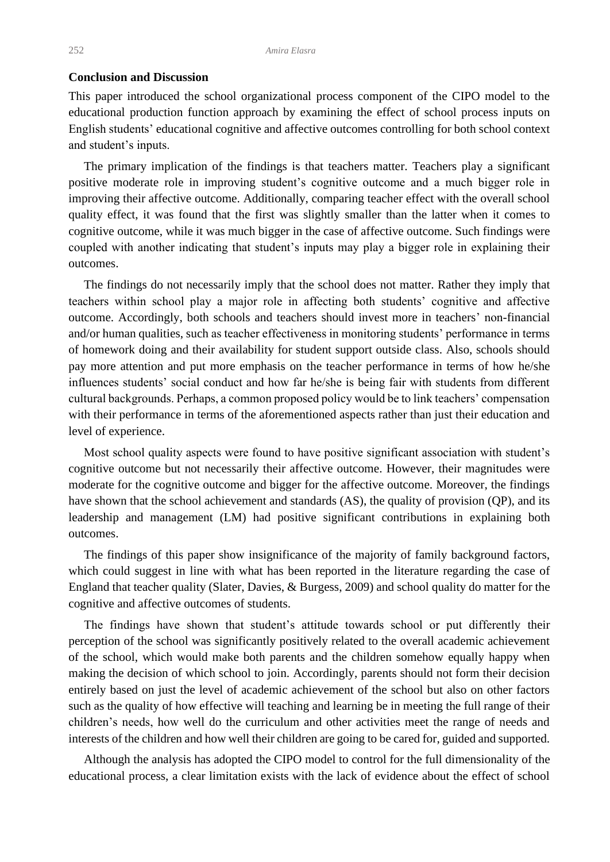## **Conclusion and Discussion**

This paper introduced the school organizational process component of the CIPO model to the educational production function approach by examining the effect of school process inputs on English students' educational cognitive and affective outcomes controlling for both school context and student's inputs.

 The primary implication of the findings is that teachers matter. Teachers play a significant positive moderate role in improving student's cognitive outcome and a much bigger role in improving their affective outcome. Additionally, comparing teacher effect with the overall school quality effect, it was found that the first was slightly smaller than the latter when it comes to cognitive outcome, while it was much bigger in the case of affective outcome. Such findings were coupled with another indicating that student's inputs may play a bigger role in explaining their outcomes.

 The findings do not necessarily imply that the school does not matter. Rather they imply that teachers within school play a major role in affecting both students' cognitive and affective outcome. Accordingly, both schools and teachers should invest more in teachers' non-financial and/or human qualities, such as teacher effectiveness in monitoring students' performance in terms of homework doing and their availability for student support outside class. Also, schools should pay more attention and put more emphasis on the teacher performance in terms of how he/she influences students' social conduct and how far he/she is being fair with students from different cultural backgrounds. Perhaps, a common proposed policy would be to link teachers' compensation with their performance in terms of the aforementioned aspects rather than just their education and level of experience.

 Most school quality aspects were found to have positive significant association with student's cognitive outcome but not necessarily their affective outcome. However, their magnitudes were moderate for the cognitive outcome and bigger for the affective outcome. Moreover, the findings have shown that the school achievement and standards (AS), the quality of provision (QP), and its leadership and management (LM) had positive significant contributions in explaining both outcomes.

 The findings of this paper show insignificance of the majority of family background factors, which could suggest in line with what has been reported in the literature regarding the case of England that teacher quality (Slater, Davies, & Burgess, 2009) and school quality do matter for the cognitive and affective outcomes of students.

 The findings have shown that student's attitude towards school or put differently their perception of the school was significantly positively related to the overall academic achievement of the school, which would make both parents and the children somehow equally happy when making the decision of which school to join. Accordingly, parents should not form their decision entirely based on just the level of academic achievement of the school but also on other factors such as the quality of how effective will teaching and learning be in meeting the full range of their children's needs, how well do the curriculum and other activities meet the range of needs and interests of the children and how well their children are going to be cared for, guided and supported.

 Although the analysis has adopted the CIPO model to control for the full dimensionality of the educational process, a clear limitation exists with the lack of evidence about the effect of school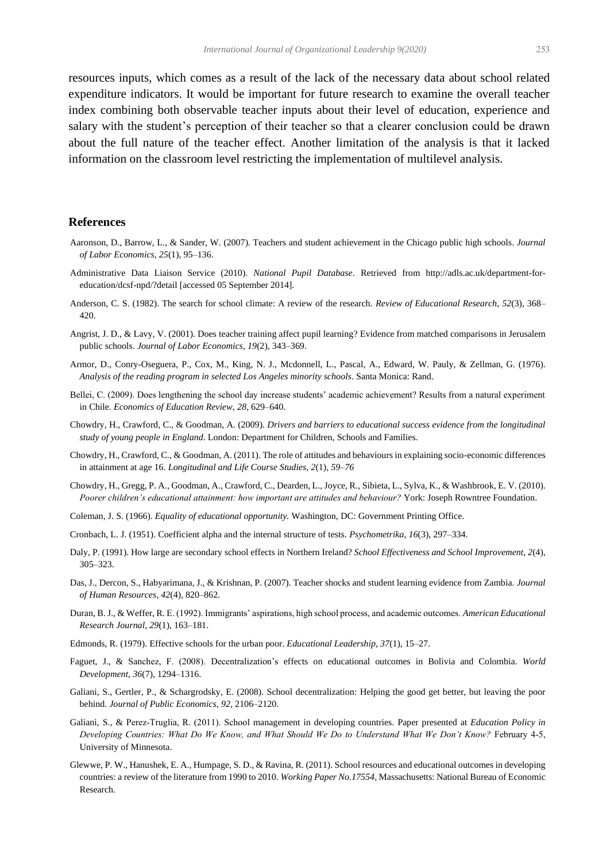resources inputs, which comes as a result of the lack of the necessary data about school related expenditure indicators. It would be important for future research to examine the overall teacher index combining both observable teacher inputs about their level of education, experience and salary with the student's perception of their teacher so that a clearer conclusion could be drawn about the full nature of the teacher effect. Another limitation of the analysis is that it lacked information on the classroom level restricting the implementation of multilevel analysis.

#### **References**

- Aaronson, D., Barrow, L., & Sander, W. (2007). Teachers and student achievement in the Chicago public high schools. *Journal of Labor Economics*, *25*(1), 95–136.
- Administrative Data Liaison Service (2010). *National Pupil Database*. Retrieved from [http://adls.ac.uk/department-for](http://adls.ac.uk/department-for-education/dcsf-npd/?detail)[education/dcsf-npd/?detail](http://adls.ac.uk/department-for-education/dcsf-npd/?detail) [accessed 05 September 2014].
- Anderson, C. S. (1982). The search for school climate: A review of the research. *Review of Educational Research*, *52*(3), 368– 420.
- Angrist, J. D., & Lavy, V. (2001). Does teacher training affect pupil learning? Evidence from matched comparisons in Jerusalem public schools. *Journal of Labor Economics*, *19*(2), 343–369.
- Armor, D., Conry-Oseguera, P., Cox, M., King, N. J., Mcdonnell, L., Pascal, A., Edward, W. Pauly, & Zellman, G. (1976). *Analysis of the reading program in selected Los Angeles minority schools*. Santa Monica: Rand.
- Bellei, C. (2009). Does lengthening the school day increase students' academic achievement? Results from a natural experiment in Chile. *Economics of Education Review*, *28*, 629–640.
- Chowdry, H., Crawford, C., & Goodman, A. (2009). *Drivers and barriers to educational success evidence from the longitudinal study of young people in England*. London: Department for Children, Schools and Families.
- Chowdry, H., Crawford, C., & Goodman, A. (2011). The role of attitudes and behaviours in explaining socio-economic differences in attainment at age 16. *Longitudinal and Life Course Studies, 2*(1)*, 59–76*
- Chowdry, H., Gregg, P. A., Goodman, A., Crawford, C., Dearden, L., Joyce, R., Sibieta, L., Sylva, K., & Washbrook, E. V. (2010). *Poorer children's educational attainment: how important are attitudes and behaviour?* York: Joseph Rowntree Foundation.
- Coleman, J. S. (1966). *Equality of educational opportunity.* Washington, DC: Government Printing Office.
- Cronbach, L. J. (1951). Coefficient alpha and the internal structure of tests. *Psychometrika, 16*(3), 297–334.
- Daly, P. (1991). How large are secondary school effects in Northern Ireland? *School Effectiveness and School Improvement*, *2*(4), 305–323.
- Das, J., Dercon, S., Habyarimana, J., & Krishnan, P. (2007). Teacher shocks and student learning evidence from Zambia. *Journal of Human Resources*, *42*(4), 820–862.
- Duran, B. J., & Weffer, R. E. (1992). Immigrants' aspirations, high school process, and academic outcomes. *American Educational Research Journal*, *29*(1), 163–181.
- Edmonds, R. (1979). Effective schools for the urban poor. *Educational Leadership*, *37*(1), 15–27.
- Faguet, J., & Sanchez, F. (2008). Decentralization's effects on educational outcomes in Bolivia and Colombia. *World Development, 36*(7), 1294–1316.
- Galiani, S., Gertler, P., & Schargrodsky, E. (2008). School decentralization: Helping the good get better, but leaving the poor behind. *Journal of Public Economics*, *92*, 2106–2120.
- Galiani, S., & Perez‐Truglia, R. (2011). School management in developing countries. Paper presented at *Education Policy in Developing Countries: What Do We Know, and What Should We Do to Understand What We Don't Know?* February 4‐5, University of Minnesota.
- Glewwe, P. W., Hanushek, E. A., Humpage, S. D., & Ravina, R. (2011). School resources and educational outcomes in developing countries: a review of the literature from 1990 to 2010. *Working Paper No.17554,* Massachusetts: National Bureau of Economic Research.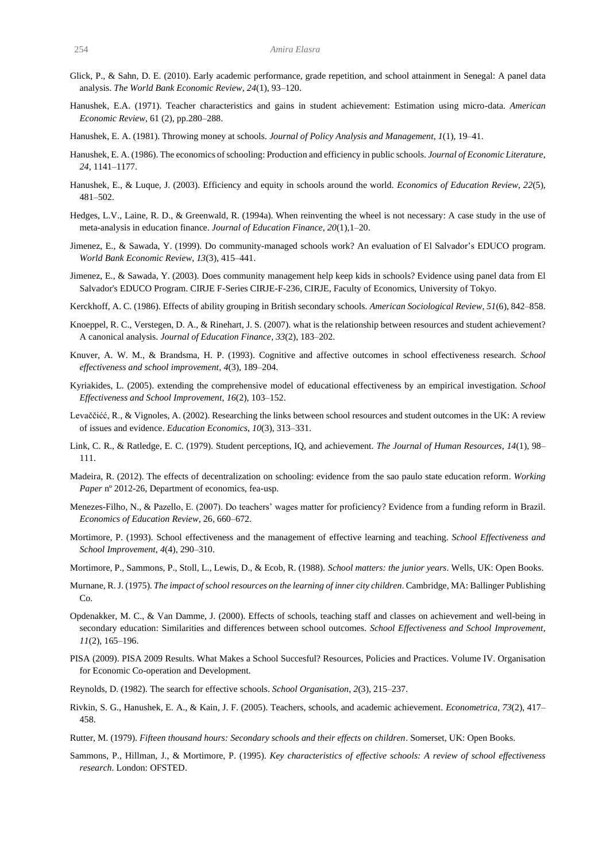- Glick, P., & Sahn, D. E. (2010). Early academic performance, grade repetition, and school attainment in Senegal: A panel data analysis. *The World Bank Economic Review*, *24*(1), 93–120.
- Hanushek, E.A. (1971). Teacher characteristics and gains in student achievement: Estimation using micro-data. *American Economic Review*, 61 (2), pp.280–288.
- Hanushek, E. A. (1981). Throwing money at schools. *Journal of Policy Analysis and Management*, *1*(1), 19–41.
- Hanushek, E. A. (1986). The economics of schooling: Production and efficiency in public schools. *Journal of Economic Literature*, *24*, 1141–1177.
- Hanushek, E., & Luque, J. (2003). Efficiency and equity in schools around the world. *Economics of Education Review*, *22*(5), 481–502.
- Hedges, L.V., Laine, R. D., & Greenwald, R. (1994a). When reinventing the wheel is not necessary: A case study in the use of meta-analysis in education finance. *Journal of Education Finance*, *20*(1),1–20.
- Jimenez, E., & Sawada, Y. (1999). Do community-managed schools work? An evaluation of El Salvador's EDUCO program. *World Bank Economic Review*, *13*(3), 415–441.
- Jimenez, E., & Sawada, Y. (2003). Does community management help keep kids in schools? Evidence using panel data from El Salvador's EDUCO Program. CIRJE F-Series CIRJE-F-236, CIRJE, Faculty of Economics, University of Tokyo.
- Kerckhoff, A. C. (1986). Effects of ability grouping in British secondary schools. *American Sociological Review*, *51*(6), 842–858.
- Knoeppel, R. C., Verstegen, D. A., & Rinehart, J. S. (2007). what is the relationship between resources and student achievement? A canonical analysis. *Journal of Education Finance*, *33*(2), 183–202.
- Knuver, A. W. M., & Brandsma, H. P. (1993). Cognitive and affective outcomes in school effectiveness research. *School effectiveness and school improvement*, *4*(3), 189–204.
- Kyriakides, L. (2005). extending the comprehensive model of educational effectiveness by an empirical investigation. *School Effectiveness and School Improvement*, *16*(2), 103–152.
- Levaččićć, R., & Vignoles, A. (2002). Researching the links between school resources and student outcomes in the UK: A review of issues and evidence. *Education Economics*, *10*(3), 313–331.
- Link, C. R., & Ratledge, E. C. (1979). Student perceptions, IQ, and achievement. *The Journal of Human Resources*, *14*(1), 98– 111.
- Madeira, R. (2012). The effects of decentralization on schooling: evidence from the sao paulo state education reform. *Working Paper* nº 2012-26, Department of economics, fea-usp.
- Menezes-Filho, N., & Pazello, E. (2007). Do teachers' wages matter for proficiency? Evidence from a funding reform in Brazil. *Economics of Education Review*, 26, 660–672.
- Mortimore, P. (1993). School effectiveness and the management of effective learning and teaching. *School Effectiveness and School Improvement*, *4*(4), 290–310.
- Mortimore, P., Sammons, P., Stoll, L., Lewis, D., & Ecob, R. (1988). *School matters: the junior years*. Wells, UK: Open Books.
- Murnane, R.J. (1975). *The impact of school resources on the learning of inner city children*. Cambridge, MA: Ballinger Publishing Co.
- Opdenakker, M. C., & Van Damme, J. (2000). Effects of schools, teaching staff and classes on achievement and well-being in secondary education: Similarities and differences between school outcomes. *School Effectiveness and School Improvement*, *11*(2), 165–196.
- PISA (2009). PISA 2009 Results. What Makes a School Succesful? Resources, Policies and Practices. Volume IV. Organisation for Economic Co-operation and Development.
- Reynolds, D. (1982). The search for effective schools. *School Organisation*, *2*(3), 215–237.
- Rivkin, S. G., Hanushek, E. A., & Kain, J. F. (2005). Teachers, schools, and academic achievement. *Econometrica*, *73*(2), 417– 458.
- Rutter, M. (1979). *Fifteen thousand hours: Secondary schools and their effects on children*. Somerset, UK: Open Books.
- Sammons, P., Hillman, J., & Mortimore, P. (1995). *Key characteristics of effective schools: A review of school effectiveness research*. London: OFSTED.